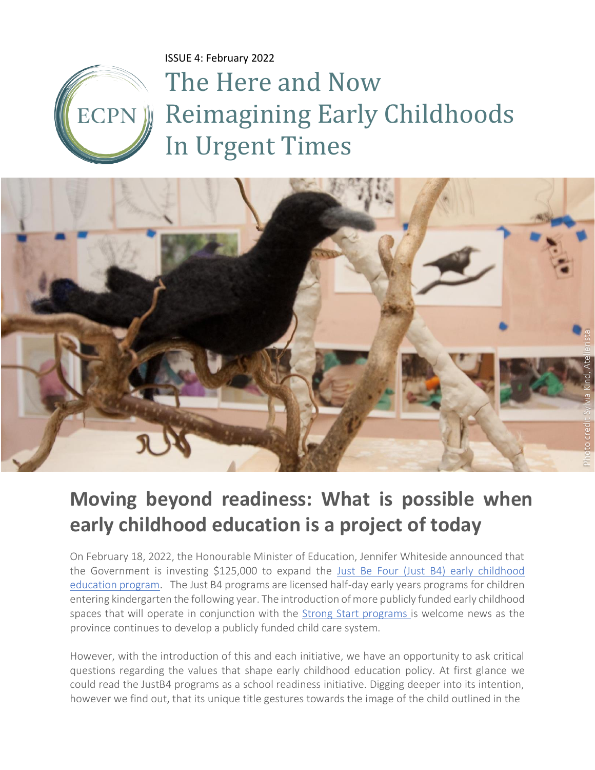ISSUE 4: February 2022

ECPN

# The Here and Now Reimagining Early Childhoods In Urgent Times



### **Moving beyond readiness: What is possible when early childhood education is a project of today**

On February 18, 2022, the Honourable Minister of Education, Jennifer Whiteside announced that the Government is investing \$125,000 to expand the [Just Be Four \(Just B4\) early childhood](https://news.gov.bc.ca/releases/2022EDUC0005-000227)  [education program.](https://news.gov.bc.ca/releases/2022EDUC0005-000227) The Just B4 programs are licensed half-day early years programs for children entering kindergarten the following year. The introduction of more publicly funded early childhood spaces that will operate in conjunction with the [Strong Start programs i](https://www2.gov.bc.ca/gov/content/education-training/early-learning/support/programs/strongstart-bc)s welcome news as the province continues to develop a publicly funded child care system.

However, with the introduction of this and each initiative, we have an opportunity to ask critical questions regarding the values that shape early childhood education policy. At first glance we could read the JustB4 programs as a school readiness initiative. Digging deeper into its intention, however we find out, that its unique title gestures towards the image of the child outlined in the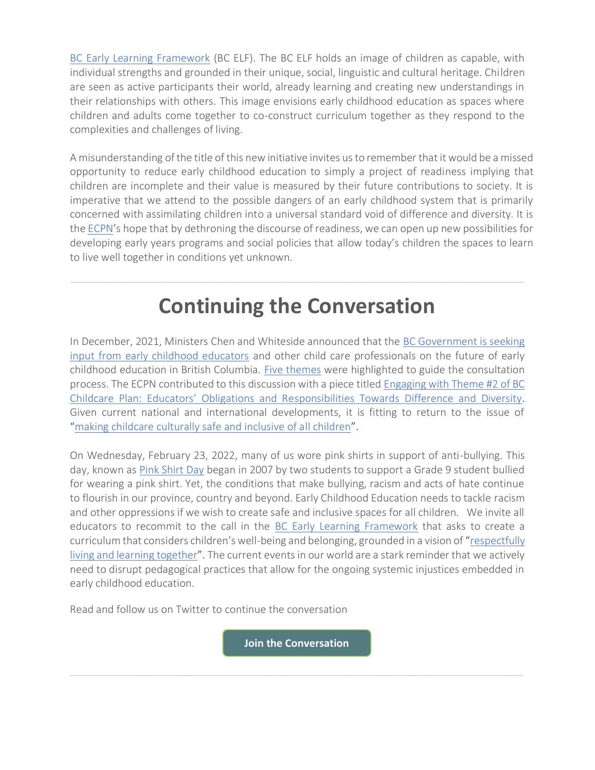[BC Early Learning Framework](https://www2.gov.bc.ca/gov/content/education-training/early-learning/teach/early-learning-framework) (BC ELF). The BC ELF holds an image of children as capable, with individual strengths and grounded in their unique, social, linguistic and cultural heritage. Children are seen as active participants their world, already learning and creating new understandings in their relationships with others. This image envisions early childhood education as spaces where children and adults come together to co-construct curriculum together as they respond to the complexities and challenges of living.

A misunderstanding of the title of this new initiative invites us to remember that it would be a missed opportunity to reduce early childhood education to simply a project of readiness implying that children are incomplete and their value is measured by their future contributions to society. It is imperative that we attend to the possible dangers of an early childhood system that is primarily concerned with assimilating children into a universal standard void of difference and diversity. It is th[e ECPN](https://www.ecpn.ca/)'s hope that by dethroning the discourse of readiness, we can open up new possibilities for developing early years programs and social policies that allow today's children the spaces to learn to live well together in conditions yet unknown.

# **Continuing the Conversation**

In December, 2021, Ministers Chen and Whiteside announced that the [BC Government is seeking](https://www2.gov.bc.ca/gov/content/family-social-supports/caring-for-young-children/childcarebc-engagement)  [input from early childhood educators](https://www2.gov.bc.ca/gov/content/family-social-supports/caring-for-young-children/childcarebc-engagement) and other child care professionals on the future of early childhood education in British Columbia. [Five themes](https://www2.gov.bc.ca/assets/gov/family-and-social-supports/child-care/engagement/childcarebc_presentation_dec1_2021.pdf) were highlighted to guide the consultation process. The ECPN contributed to this discussion with a piece titled [Engaging with Theme #2 of BC](https://www.ecpn.ca/application/files/2416/4021/5784/ISSUE_2.pdf)  Childcare Plan: Educators' Obligations and Re[sponsibilities Towards Difference and Diversity.](https://www.ecpn.ca/application/files/2416/4021/5784/ISSUE_2.pdf) Given current national and international developments, it is fitting to return to the issue of "[making childcare culturally safe and inclusive of all children](https://www.youtube.com/watch?v=o7-fibF6qgI)".

On Wednesday, February 23, 2022, many of us wore pink shirts in support of anti-bullying. This day, known as [Pink Shirt Day](https://www.pinkshirtday.ca/) began in 2007 by two students to support a Grade 9 student bullied for wearing a pink shirt. Yet, the conditions that make bullying, racism and acts of hate continue to flourish in our province, country and beyond. Early Childhood Education needs to tackle racism and other oppressions if we wish to create safe and inclusive spaces for all children. We invite all educators to recommit to the call in the [BC Early Learning Framework](https://www2.gov.bc.ca/gov/content/education-training/early-learning/teach/early-learning-framework) that asks to create a curriculum that considers children's well-being and belonging, grounded in a vision of "[respectfully](https://www2.gov.bc.ca/assets/gov/education/early-learning/teach/earlylearning/early_learning_framework.pdf)  [living and learning together](https://www2.gov.bc.ca/assets/gov/education/early-learning/teach/earlylearning/early_learning_framework.pdf)". The current events in our world are a stark reminder that we actively need to disrupt pedagogical practices that allow for the ongoing systemic injustices embedded in early childhood education.

Read and follow us on Twitter to continue the conversation

**[Join the Conversation](https://twitter.com/EcpnBc/status/1487921983698669571?s=20&t=v4jmKjxCgE6G81L1My0yYw)**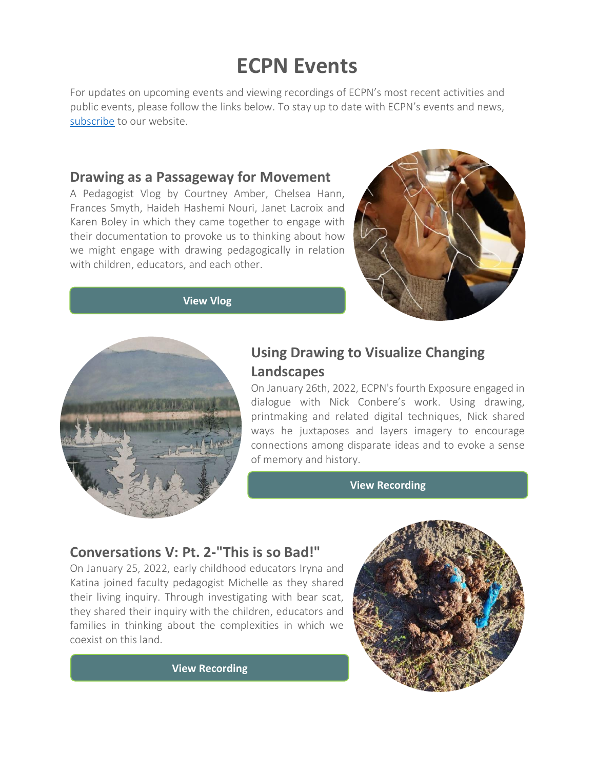# **ECPN Events**

For updates on upcoming events and viewing recordings of ECPN's most recent activities and public events, please follow the links below. To stay up to date with ECPN's events and news, [subscribe](https://www.ecpn.ca/news-updates) to our website.

#### **Drawing as a Passageway for Movement**

A Pedagogist Vlog by Courtney Amber, Chelsea Hann, Frances Smyth, Haideh Hashemi Nouri, Janet Lacroix and Karen Boley in which they came together to engage with their documentation to provoke us to thinking about how we might engage with drawing pedagogically in relation with children, educators, and each other.



**[View](https://www.ecpn.ca/blog/vlogs-video-blog/drawing-passageway-movement) Vlog**



#### **Using Drawing to Visualize Changing Landscapes**

On January 26th, 2022, ECPN's fourth Exposure engaged in dialogue with Nick Conbere's work. Using drawing, printmaking and related digital techniques, Nick shared ways he juxtaposes and layers imagery to encourage connections among disparate ideas and to evoke a sense of memory and history.

**[View](https://www.ecpn.ca/events/past-events/series/conversations-v-pt-2-so-bad) [Recording](https://www.ecpn.ca/events/past-events/exposures/using-drawing-visualize-changing-landscapes)**

#### **Conversations V: Pt. 2-"This is so Bad!"**

On January 25, 2022, early childhood educators Iryna and Katina joined faculty pedagogist Michelle as they shared their living inquiry. Through investigating with bear scat, they shared their inquiry with the children, educators and families in thinking about the complexities in which we coexist on this land.



**[View Recording](https://www.ecpn.ca/events/past-events/series/conversations-v-pt-2-so-bad)**